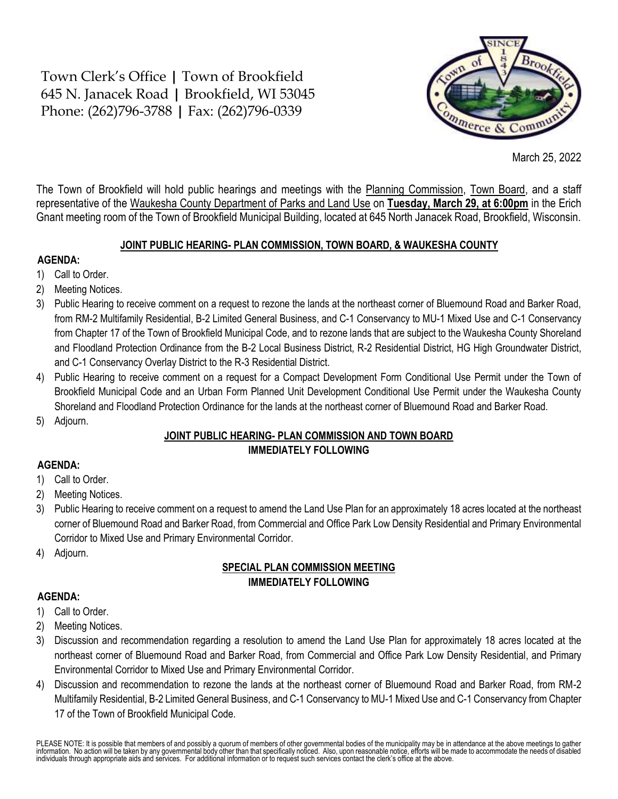Town Clerk's Office **|** Town of Brookfield 645 N. Janacek Road **|** Brookfield, WI 53045 Phone: (262)796-3788 **|** Fax: (262)796-0339



March 25, 2022

The Town of Brookfield will hold public hearings and meetings with the Planning Commission, Town Board, and a staff representative of the Waukesha County Department of Parks and Land Use on **Tuesday, March 29, at 6:00pm** in the Erich Gnant meeting room of the Town of Brookfield Municipal Building, located at 645 North Janacek Road, Brookfield, Wisconsin.

#### **JOINT PUBLIC HEARING- PLAN COMMISSION, TOWN BOARD, & WAUKESHA COUNTY**

### **AGENDA:**

- 1) Call to Order.
- 2) Meeting Notices.
- 3) Public Hearing to receive comment on a request to rezone the lands at the northeast corner of Bluemound Road and Barker Road, from RM-2 Multifamily Residential, B-2 Limited General Business, and C-1 Conservancy to MU-1 Mixed Use and C-1 Conservancy from Chapter 17 of the Town of Brookfield Municipal Code, and to rezone lands that are subject to the Waukesha County Shoreland and Floodland Protection Ordinance from the B-2 Local Business District, R-2 Residential District, HG High Groundwater District, and C-1 Conservancy Overlay District to the R-3 Residential District.
- 4) Public Hearing to receive comment on a request for a Compact Development Form Conditional Use Permit under the Town of Brookfield Municipal Code and an Urban Form Planned Unit Development Conditional Use Permit under the Waukesha County Shoreland and Floodland Protection Ordinance for the lands at the northeast corner of Bluemound Road and Barker Road.
- 5) Adjourn.

## **JOINT PUBLIC HEARING- PLAN COMMISSION AND TOWN BOARD IMMEDIATELY FOLLOWING**

# **AGENDA:**

- 1) Call to Order.
- 2) Meeting Notices.
- 3) Public Hearing to receive comment on a request to amend the Land Use Plan for an approximately 18 acres located at the northeast corner of Bluemound Road and Barker Road, from Commercial and Office Park Low Density Residential and Primary Environmental Corridor to Mixed Use and Primary Environmental Corridor.
- 4) Adjourn.

## **SPECIAL PLAN COMMISSION MEETING IMMEDIATELY FOLLOWING**

### **AGENDA:**

- 1) Call to Order.
- 2) Meeting Notices.
- 3) Discussion and recommendation regarding a resolution to amend the Land Use Plan for approximately 18 acres located at the northeast corner of Bluemound Road and Barker Road, from Commercial and Office Park Low Density Residential, and Primary Environmental Corridor to Mixed Use and Primary Environmental Corridor.
- 4) Discussion and recommendation to rezone the lands at the northeast corner of Bluemound Road and Barker Road, from RM-2 Multifamily Residential, B-2 Limited General Business, and C-1 Conservancy to MU-1 Mixed Use and C-1 Conservancy from Chapter 17 of the Town of Brookfield Municipal Code.